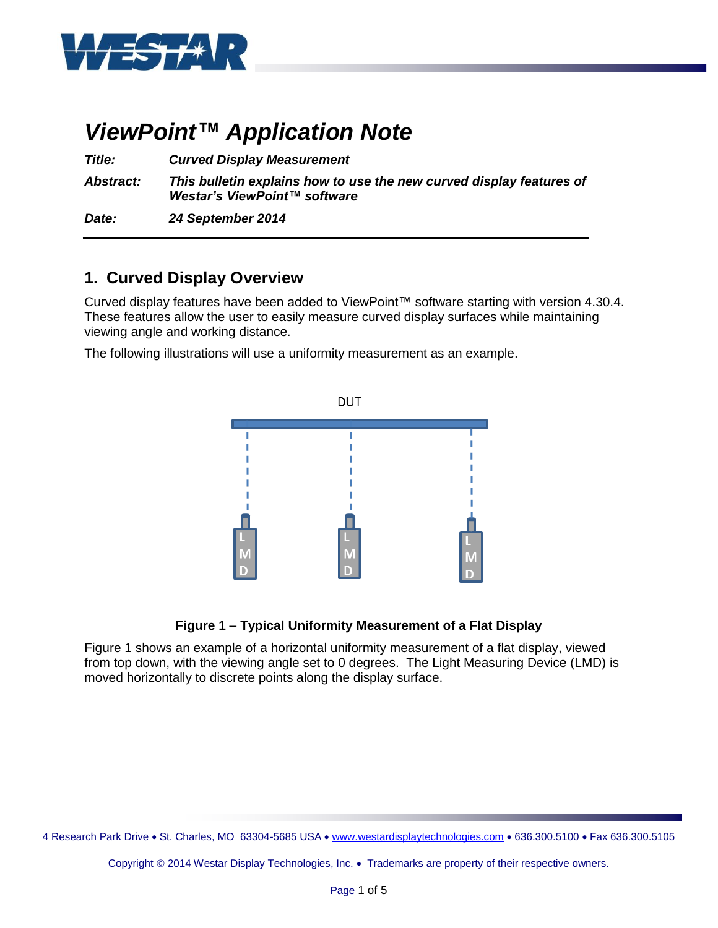

# *ViewPoint™ Application Note*

*Title: Curved Display Measurement*

*Abstract: This bulletin explains how to use the new curved display features of Westar's ViewPoint™ software*

*Date: 24 September 2014*

### **1. Curved Display Overview**

Curved display features have been added to ViewPoint™ software starting with version 4.30.4. These features allow the user to easily measure curved display surfaces while maintaining viewing angle and working distance.

The following illustrations will use a uniformity measurement as an example.



### **Figure 1 – Typical Uniformity Measurement of a Flat Display**

Figure 1 shows an example of a horizontal uniformity measurement of a flat display, viewed from top down, with the viewing angle set to 0 degrees. The Light Measuring Device (LMD) is moved horizontally to discrete points along the display surface.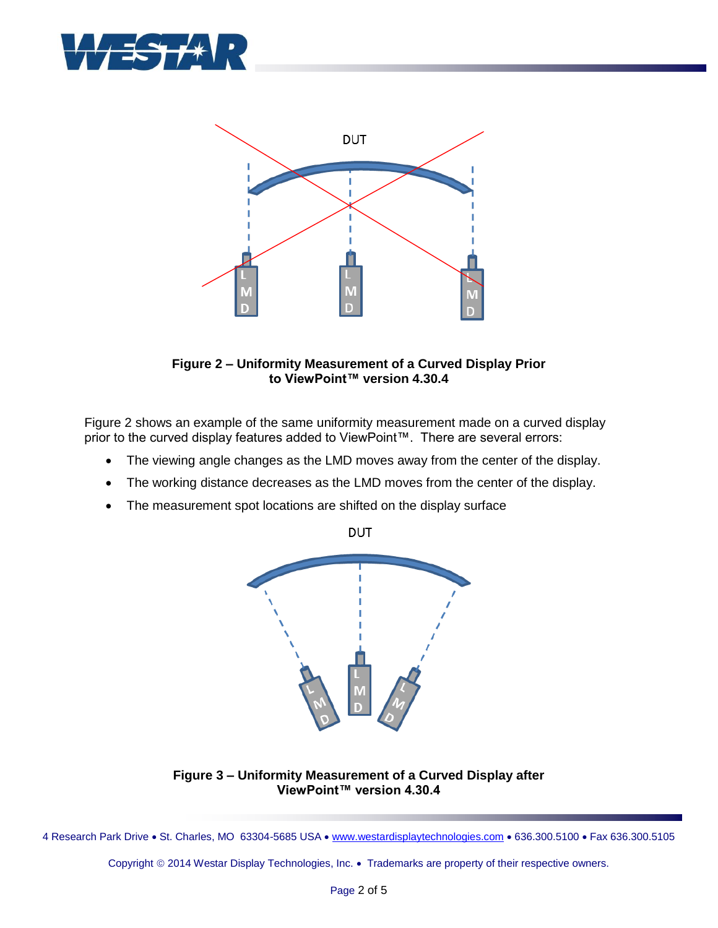



#### **Figure 2 – Uniformity Measurement of a Curved Display Prior to ViewPoint™ version 4.30.4**

Figure 2 shows an example of the same uniformity measurement made on a curved display prior to the curved display features added to ViewPoint™. There are several errors:

- The viewing angle changes as the LMD moves away from the center of the display.
- The working distance decreases as the LMD moves from the center of the display.
- The measurement spot locations are shifted on the display surface



**Figure 3 – Uniformity Measurement of a Curved Display after ViewPoint™ version 4.30.4**

4 Research Park Drive . St. Charles, MO 63304-5685 USA . [www.westardisplaytechnologies.com](http://www.westardisplaytechnologies.com/) . 636.300.5100 . Fax 636.300.5105

Copyright © 2014 Westar Display Technologies, Inc. • Trademarks are property of their respective owners.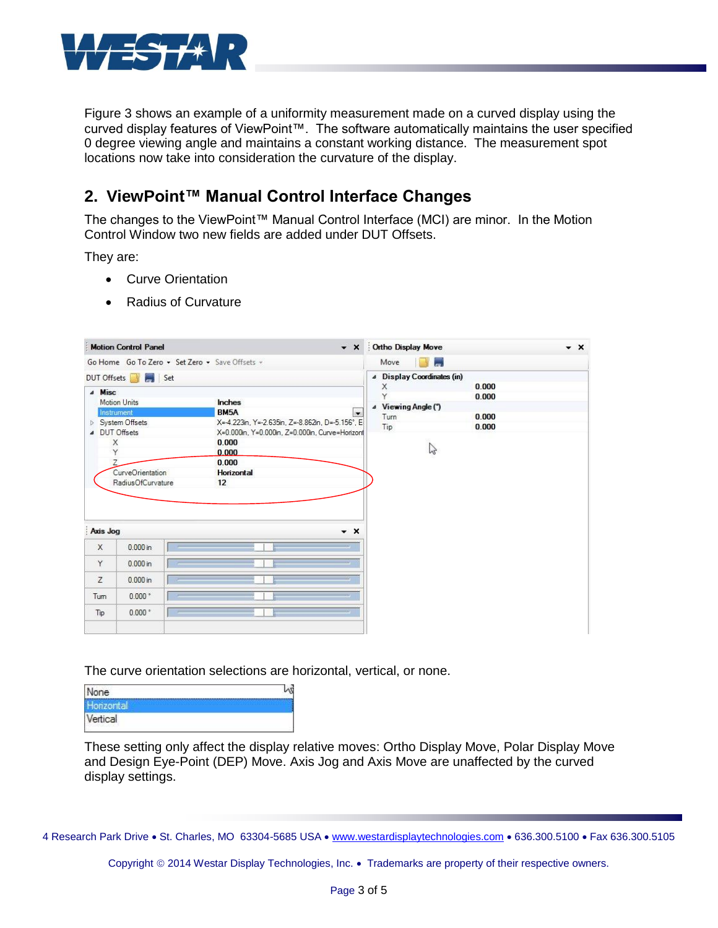

Figure 3 shows an example of a uniformity measurement made on a curved display using the curved display features of ViewPoint™. The software automatically maintains the user specified 0 degree viewing angle and maintains a constant working distance. The measurement spot locations now take into consideration the curvature of the display.

### **2. ViewPoint™ Manual Control Interface Changes**

The changes to the ViewPoint™ Manual Control Interface (MCI) are minor. In the Motion Control Window two new fields are added under DUT Offsets.

They are:

- Curve Orientation
- Radius of Curvature

| <b>Motion Control Panel</b><br>$\mathbf{v} \times$                                           |                                                                                                       | Ortho Display Move                                                                                             | $\star$ $\times$ |
|----------------------------------------------------------------------------------------------|-------------------------------------------------------------------------------------------------------|----------------------------------------------------------------------------------------------------------------|------------------|
| Go Home Go To Zero - Set Zero - Save Offsets -                                               |                                                                                                       | Move<br>ь.                                                                                                     |                  |
| DUT Offsets <b>Ave.</b> Set<br>4 Misc<br><b>Motion Units</b><br>Instrument<br>System Offsets | Inches<br>BM5A<br>$\sim$<br>X=-4.223in, Y=-2.635in, Z=-8.862in, D=-5.156°, E                          | 4 Display Coordinates (in)<br>0.000<br>X<br>Y<br>0.000<br>4 Viewing Angle (")<br>Turn<br>0.000<br>Tip<br>0.000 |                  |
| ▲ DUT Offsets<br>X<br>Y<br>CurveOrientation<br>RadiusOfCurvature                             | X=0.000in, Y=0.000in, Z=0.000in, Curve=Horizonf<br>0.000<br>0.000<br>0.000<br><b>Horizontal</b><br>12 | 2                                                                                                              |                  |
| Axis Jog                                                                                     | $\star$ $\times$                                                                                      |                                                                                                                |                  |
| $0.000$ in<br>$\times$                                                                       |                                                                                                       |                                                                                                                |                  |
| Y<br>$0.000$ in                                                                              |                                                                                                       |                                                                                                                |                  |
| Z<br>$0.000$ in                                                                              |                                                                                                       |                                                                                                                |                  |
| 0.000 °<br>Tum                                                                               |                                                                                                       |                                                                                                                |                  |
| 0.000 <sup>o</sup><br>Tip                                                                    |                                                                                                       |                                                                                                                |                  |

The curve orientation selections are horizontal, vertical, or none.

| None    |  |
|---------|--|
|         |  |
| ertical |  |

These setting only affect the display relative moves: Ortho Display Move, Polar Display Move and Design Eye-Point (DEP) Move. Axis Jog and Axis Move are unaffected by the curved display settings.

4 Research Park Drive . St. Charles, MO 63304-5685 USA . [www.westardisplaytechnologies.com](http://www.westardisplaytechnologies.com/) . 636.300.5100 . Fax 636.300.5105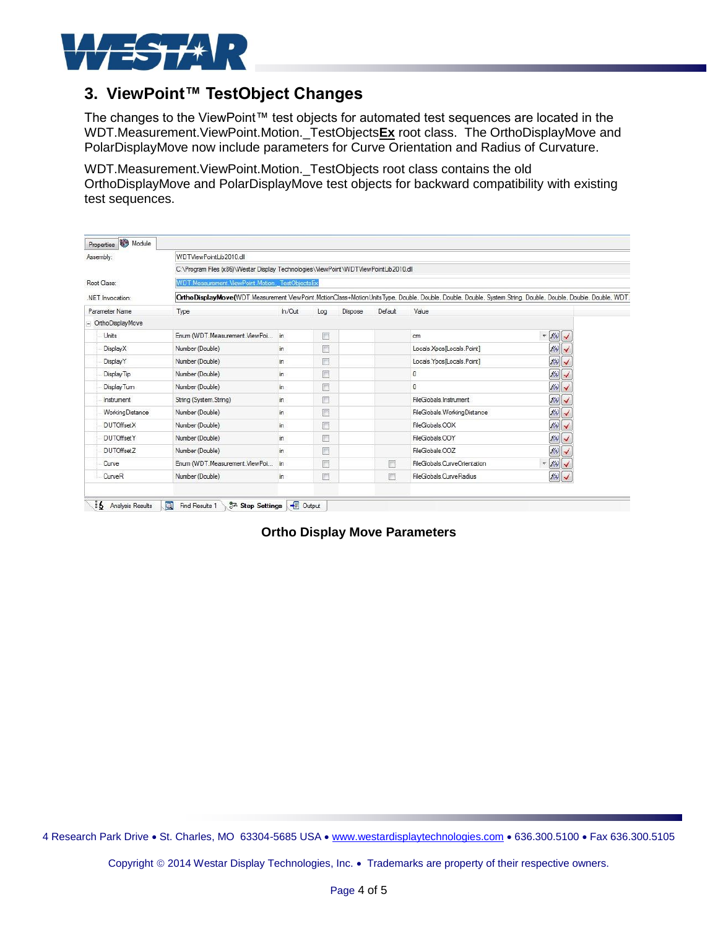

## **3. ViewPoint™ TestObject Changes**

The changes to the ViewPoint™ test objects for automated test sequences are located in the WDT.Measurement.ViewPoint.Motion.\_TestObjects**Ex** root class. The OrthoDisplayMove and PolarDisplayMove now include parameters for Curve Orientation and Radius of Curvature.

WDT.Measurement.ViewPoint.Motion.\_TestObjects root class contains the old OrthoDisplayMove and PolarDisplayMove test objects for backward compatibility with existing test sequences.

| Assembly:         | WDTViewPointLib2010.dll<br>C:\Program Files (x86)\Westar Display Technologies\ViewPoint\WDTViewPointLib2010.dll                                                             |        |        |                |         |                              |                         |  |  |
|-------------------|-----------------------------------------------------------------------------------------------------------------------------------------------------------------------------|--------|--------|----------------|---------|------------------------------|-------------------------|--|--|
|                   |                                                                                                                                                                             |        |        |                |         |                              |                         |  |  |
| Root Class:       | <b>WDT</b> Measurement ViewPoint Motion. TestObiectsEx                                                                                                                      |        |        |                |         |                              |                         |  |  |
| NET Invocation:   | OrthoDisplayMove(WDT.Measurement.ViewPoint.MotionClass+MotionUnitsType, Double, Double, Double, Double, System.String, Double, Double, Double, Double, Double, Double, WDT. |        |        |                |         |                              |                         |  |  |
| Parameter Name    | Type                                                                                                                                                                        | In/Out | Log    | <b>Dispose</b> | Default | Value                        |                         |  |  |
| Ortho DisplayMove |                                                                                                                                                                             |        |        |                |         |                              |                         |  |  |
| Units             | Enum (WDT.Measurement.ViewPoi                                                                                                                                               | in.    | 個      |                |         | cm                           | $=  f(x) $              |  |  |
| DisplayX          | Number (Double)                                                                                                                                                             | in.    | 膻      |                |         | Locals.Xpos[Locals.Point]    | $f(\mathbf{x})$         |  |  |
| DisplayY          | Number (Double)                                                                                                                                                             | in.    | $\Box$ |                |         | Locals. Ypos [Locals. Point] | $f(\mathbf{x})$         |  |  |
| Display Tip       | Number (Double)                                                                                                                                                             | in.    | n      |                |         | $\mathbf{0}$                 | $f(x)$                  |  |  |
| Display Tum       | Number (Double)                                                                                                                                                             | in.    | n      |                |         | $\mathbf{0}$                 | f(x)                    |  |  |
| <b>Instrument</b> | String (System.String)                                                                                                                                                      | in.    | m      |                |         | FileGlobals.Instrument       | f(x)                    |  |  |
| Working Distance  | Number (Double)                                                                                                                                                             | in     | B      |                |         | FileGlobals.WorkingDistance  | f(x)                    |  |  |
| <b>DUTOffsetX</b> | Number (Double)                                                                                                                                                             | in     | n      |                |         | FileGlobals.OOX              | f(x)                    |  |  |
| <b>DUTOffsetY</b> | Number (Double)                                                                                                                                                             | in     | 個      |                |         | FileGlobals.OOY              | f(x)                    |  |  |
| <b>DUTOffsetZ</b> | Number (Double)                                                                                                                                                             | in     | O      |                |         | FileGlobals.OOZ              | f(x)                    |  |  |
| Curve             | Enum (WDT.Measurement.ViewPoi                                                                                                                                               | in     | F      |                | F       | FileGlobals.CurveOrientation | $=$ $f(x)$ $\checkmark$ |  |  |
| CurveR            | Number (Double)                                                                                                                                                             | in     | F      |                | П       | FileGlobals.CurveRadius      | $f(\mathbf{z})$         |  |  |

**Ortho Display Move Parameters**

4 Research Park Drive · St. Charles, MO 63304-5685 USA · [www.westardisplaytechnologies.com](http://www.westardisplaytechnologies.com/) · 636.300.5100 · Fax 636.300.5105